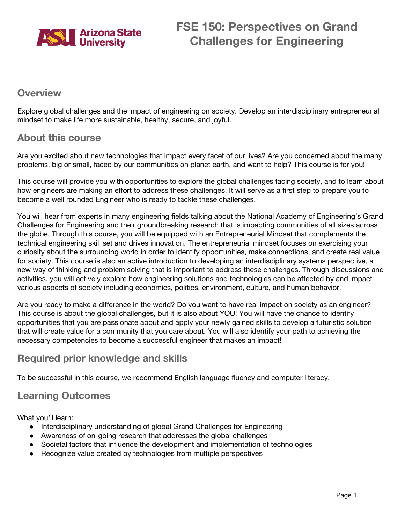

## **Overview**

Explore global challenges and the impact of engineering on society. Develop an interdisciplinary entrepreneurial mindset to make life more sustainable, healthy, secure, and joyful.

## **About this course**

Are you excited about new technologies that impact every facet of our lives? Are you concerned about the many problems, big or small, faced by our communities on planet earth, and want to help? This course is for you!

This course will provide you with opportunities to explore the global challenges facing society, and to learn about how engineers are making an effort to address these challenges. It will serve as a first step to prepare you to become a well rounded Engineer who is ready to tackle these challenges.

You will hear from experts in many engineering fields talking about the National Academy of Engineering's Grand Challenges for Engineering and their groundbreaking research that is impacting communities of all sizes across the globe. Through this course, you will be equipped with an Entrepreneurial Mindset that complements the technical engineering skill set and drives innovation. The entrepreneurial mindset focuses on exercising your curiosity about the surrounding world in order to identify opportunities, make connections, and create real value for society. This course is also an active introduction to developing an interdisciplinary systems perspective, a new way of thinking and problem solving that is important to address these challenges. Through discussions and activities, you will actively explore how engineering solutions and technologies can be affected by and impact various aspects of society including economics, politics, environment, culture, and human behavior.

Are you ready to make a difference in the world? Do you want to have real impact on society as an engineer? This course is about the global challenges, but it is also about YOU! You will have the chance to identify opportunities that you are passionate about and apply your newly gained skills to develop a futuristic solution that will create value for a community that you care about. You will also identify your path to achieving the necessary competencies to become a successful engineer that makes an impact!

## **Required prior knowledge and skills**

To be successful in this course, we recommend English language fluency and computer literacy.

## **Learning Outcomes**

What you'll learn:

- Interdisciplinary understanding of global Grand Challenges for Engineering
- Awareness of on-going research that addresses the global challenges
- Societal factors that influence the development and implementation of technologies
- Recognize value created by technologies from multiple perspectives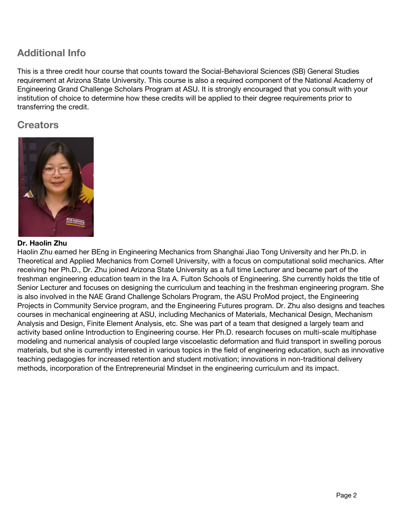# **Additional Info**

This is a three credit hour course that counts toward the Social-Behavioral Sciences (SB) General Studies requirement at Arizona State University. This course is also a required component of the National Academy of Engineering Grand Challenge Scholars Program at ASU. It is strongly encouraged that you consult with your institution of choice to determine how these credits will be applied to their degree requirements prior to transferring the credit.

## **Creators**



### **Dr. Haolin Zhu**

Haolin Zhu earned her BEng in Engineering Mechanics from Shanghai Jiao Tong University and her Ph.D. in Theoretical and Applied Mechanics from Cornell University, with a focus on computational solid mechanics. After receiving her Ph.D., Dr. Zhu joined Arizona State University as a full time Lecturer and became part of the freshman engineering education team in the Ira A. Fulton Schools of Engineering. She currently holds the title of Senior Lecturer and focuses on designing the curriculum and teaching in the freshman engineering program. She is also involved in the NAE Grand Challenge Scholars Program, the ASU ProMod project, the Engineering Projects in Community Service program, and the Engineering Futures program. Dr. Zhu also designs and teaches courses in mechanical engineering at ASU, including Mechanics of Materials, Mechanical Design, Mechanism Analysis and Design, Finite Element Analysis, etc. She was part of a team that designed a largely team and activity based online Introduction to Engineering course. Her Ph.D. research focuses on multi-scale multiphase modeling and numerical analysis of coupled large viscoelastic deformation and fluid transport in swelling porous materials, but she is currently interested in various topics in the field of engineering education, such as innovative teaching pedagogies for increased retention and student motivation; innovations in non-traditional delivery methods, incorporation of the Entrepreneurial Mindset in the engineering curriculum and its impact.